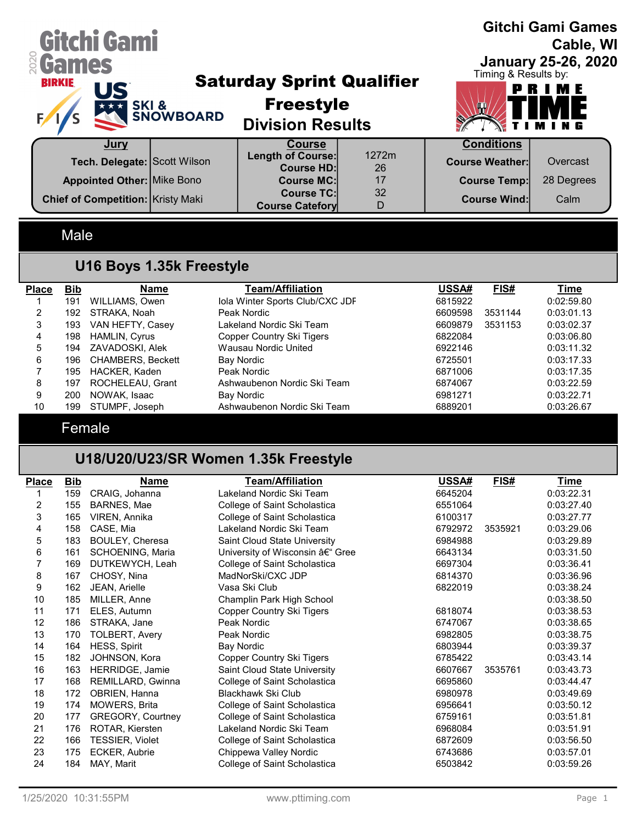| Gitchi Gami<br><b>&amp; Games</b><br><b>BIRKIE</b><br>US | <b>EXTREMEL'S SNOWBOARD</b> | <b>Saturday Sprint Qualifier</b><br><b>Freestyle</b><br><b>Division Results</b> |             | Timing & Results by:   | <b>Gitchi Gami Games</b><br>Cable, WI<br><b>January 25-26, 2020</b><br>PRIME |
|----------------------------------------------------------|-----------------------------|---------------------------------------------------------------------------------|-------------|------------------------|------------------------------------------------------------------------------|
| <u>Jury</u>                                              |                             | <b>Course</b>                                                                   |             | <b>Conditions</b>      |                                                                              |
| Tech. Delegate: Scott Wilson                             |                             | <b>Length of Course:</b><br><b>Course HD:</b>                                   | 1272m<br>26 | <b>Course Weather:</b> | Overcast                                                                     |
| <b>Appointed Other: Mike Bono</b>                        |                             | <b>Course MC:</b>                                                               | 17          | <b>Course Temp:</b>    | 28 Degrees                                                                   |
| <b>Chief of Competition: Kristy Maki</b>                 |                             | <b>Course TC:</b><br><b>Course Catefory</b>                                     | 32<br>D     | <b>Course Wind:</b>    | Calm                                                                         |
| Male                                                     |                             |                                                                                 |             |                        |                                                                              |

## U16 Boys 1.35k Freestyle

| <b>Place</b> | Bib  | Name                     | Team/Affiliation                | USSA#   | FIS#    | Time       |
|--------------|------|--------------------------|---------------------------------|---------|---------|------------|
|              | 191  | WILLIAMS, Owen           | Iola Winter Sports Club/CXC JDF | 6815922 |         | 0:02:59.80 |
| 2            | 192. | STRAKA, Noah             | Peak Nordic                     | 6609598 | 3531144 | 0:03:01.13 |
| 3            | 193  | VAN HEFTY, Casey         | Lakeland Nordic Ski Team        | 6609879 | 3531153 | 0:03:02.37 |
| 4            | 198  | HAMLIN, Cyrus            | Copper Country Ski Tigers       | 6822084 |         | 0:03:06.80 |
| 5            | 194  | ZAVADOSKI, Alek          | Wausau Nordic United            | 6922146 |         | 0:03:11.32 |
| 6            | 196  | <b>CHAMBERS, Beckett</b> | Bay Nordic                      | 6725501 |         | 0:03:17.33 |
|              | 195  | HACKER, Kaden            | Peak Nordic                     | 6871006 |         | 0:03:17.35 |
| 8            | 197  | ROCHELEAU, Grant         | Ashwaubenon Nordic Ski Team     | 6874067 |         | 0:03:22.59 |
| 9            | 200  | NOWAK, Isaac             | Bay Nordic                      | 6981271 |         | 0:03:22.71 |
| 10           | 199  | STUMPF, Joseph           | Ashwaubenon Nordic Ski Team     | 6889201 |         | 0:03:26.67 |

Female

# U18/U20/U23/SR Women 1.35k Freestyle

| <b>Place</b> | <b>Bib</b> | Name                     | <b>Team/Affiliation</b>        | USSA#   | FIS#    | <b>Time</b> |
|--------------|------------|--------------------------|--------------------------------|---------|---------|-------------|
|              | 159        | CRAIG, Johanna           | Lakeland Nordic Ski Team       | 6645204 |         | 0:03:22.31  |
| 2            | 155        | BARNES, Mae              | College of Saint Scholastica   | 6551064 |         | 0:03:27.40  |
| 3            | 165        | VIREN, Annika            | College of Saint Scholastica   | 6100317 |         | 0:03:27.77  |
| 4            | 158        | CASE, Mia                | Lakeland Nordic Ski Team       | 6792972 | 3535921 | 0:03:29.06  |
| 5            | 183        | BOULEY, Cheresa          | Saint Cloud State University   | 6984988 |         | 0:03:29.89  |
| 6            | 161        | SCHOENING, Maria         | University of Wisconsin – Gree | 6643134 |         | 0:03:31.50  |
| 7            | 169        | DUTKEWYCH, Leah          | College of Saint Scholastica   | 6697304 |         | 0:03:36.41  |
| 8            | 167        | CHOSY, Nina              | MadNorSki/CXC JDP              | 6814370 |         | 0:03:36.96  |
| 9            | 162        | JEAN, Arielle            | Vasa Ski Club                  | 6822019 |         | 0:03:38.24  |
| 10           | 185        | MILLER, Anne             | Champlin Park High School      |         |         | 0:03:38.50  |
| 11           | 171        | ELES, Autumn             | Copper Country Ski Tigers      | 6818074 |         | 0:03:38.53  |
| 12           | 186        | STRAKA, Jane             | Peak Nordic                    | 6747067 |         | 0:03:38.65  |
| 13           | 170        | TOLBERT, Avery           | Peak Nordic                    | 6982805 |         | 0:03:38.75  |
| 14           | 164        | HESS, Spirit             | <b>Bay Nordic</b>              | 6803944 |         | 0:03:39.37  |
| 15           | 182        | JOHNSON, Kora            | Copper Country Ski Tigers      | 6785422 |         | 0:03:43.14  |
| 16           | 163        | HERRIDGE, Jamie          | Saint Cloud State University   | 6607667 | 3535761 | 0:03:43.73  |
| 17           | 168        | REMILLARD, Gwinna        | College of Saint Scholastica   | 6695860 |         | 0:03:44.47  |
| 18           | 172        | OBRIEN, Hanna            | Blackhawk Ski Club             | 6980978 |         | 0:03:49.69  |
| 19           | 174        | <b>MOWERS, Brita</b>     | College of Saint Scholastica   | 6956641 |         | 0:03:50.12  |
| 20           | 177        | <b>GREGORY, Courtney</b> | College of Saint Scholastica   | 6759161 |         | 0:03:51.81  |
| 21           | 176        | ROTAR, Kiersten          | Lakeland Nordic Ski Team       | 6968084 |         | 0:03:51.91  |
| 22           | 166        | TESSIER, Violet          | College of Saint Scholastica   | 6872609 |         | 0:03:56.50  |
| 23           | 175        | ECKER, Aubrie            | Chippewa Valley Nordic         | 6743686 |         | 0:03:57.01  |
| 24           | 184        | MAY, Marit               | College of Saint Scholastica   | 6503842 |         | 0:03:59.26  |